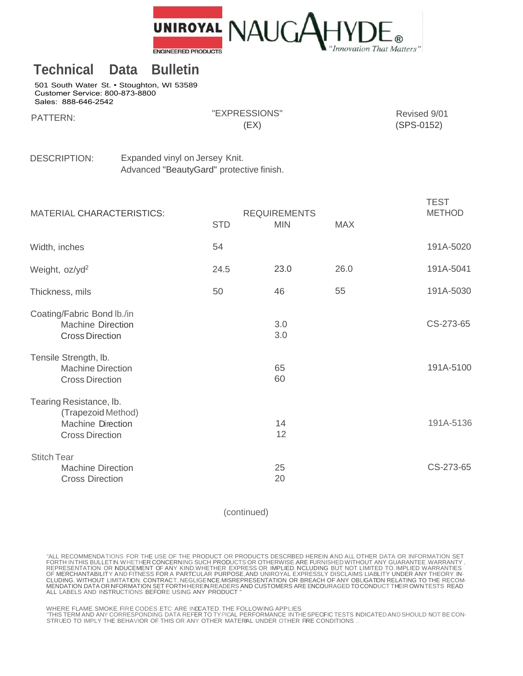

## **Technical Data Bulletin**

501 South Water St. • Stoughton, WI 53589 Customer Service: 800-873-8800 Sales: 888-646-2542

| PATTERN: | "EXPRESSIONS" | Revised 9/01 |
|----------|---------------|--------------|
|          | (EX)          | (SPS-0152)   |
|          |               |              |

DESCRIPTION: Expanded vinyl on Jersey Knit. Advanced "BeautyGard" protective finish.

|                            | <b>MATERIAL CHARACTERISTICS:</b>                                                                    | <b>STD</b> | <b>REQUIREMENTS</b><br><b>MIN</b> | <b>MAX</b> | <b>TEST</b><br><b>METHOD</b> |
|----------------------------|-----------------------------------------------------------------------------------------------------|------------|-----------------------------------|------------|------------------------------|
| Width, inches              |                                                                                                     | 54         |                                   |            | 191A-5020                    |
| Weight, oz/yd <sup>2</sup> |                                                                                                     | 24.5       | 23.0                              | 26.0       | 191A-5041                    |
| Thickness, mils            |                                                                                                     | 50         | 46                                | 55         | 191A-5030                    |
|                            | Coating/Fabric Bond lb./in<br><b>Machine Direction</b><br><b>Cross Direction</b>                    |            | 3.0<br>3.0                        |            | CS-273-65                    |
|                            | Tensile Strength, lb.<br><b>Machine Direction</b><br><b>Cross Direction</b>                         |            | 65<br>60                          |            | 191A-5100                    |
|                            | Tearing Resistance, lb.<br>(Trapezoid Method)<br><b>Machine Direction</b><br><b>Cross Direction</b> |            | 14<br>12                          |            | 191A-5136                    |
| <b>Stitch Tear</b>         | <b>Machine Direction</b><br><b>Cross Direction</b>                                                  |            | 25<br>20                          |            | CS-273-65                    |

(continued)

"ALL RECOMMENDATIONS FOR THE USE OF THE PRODUCT OR PRODUCTS DESCRBED HEREIN AND ALL OTHER DATA OR INFORMATION SET<br>FORTH INTHIS BULLETIN.WHETHER CONCERNING SUCH PRODUCTS OR OTHERWISE ARE FURNISHED WITHOUT ANY GUARANTEE. WAR

WHERE FLAME.SMOKE.FIRE CODES.ETC ARE INDCATED. THE FOLLOWING APPLIES.<br>"THIS TERM AND ANY CORRESPONDING DATA REFER TO TYPICAL PERFORMANCE INTHE SPECFIC TESTS INDICATED AND SHOULD NOT BE CON-<br>STRUEO TO IMPLY THE BEHAVIOR OF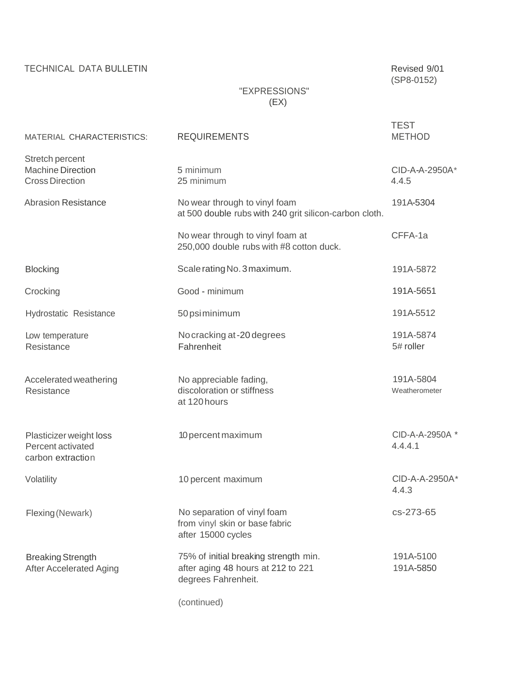TECHNICAL DATA BULLETIN

Revised 9/01 (SP8-0152)

## "EXPRESSIONS" (EX)

| MATERIAL CHARACTERISTICS:                                             | <b>REQUIREMENTS</b>                                                                                | <b>TEST</b><br><b>METHOD</b> |
|-----------------------------------------------------------------------|----------------------------------------------------------------------------------------------------|------------------------------|
| Stretch percent<br><b>Machine Direction</b><br><b>Cross Direction</b> | 5 minimum<br>25 minimum                                                                            | CID-A-A-2950A*<br>4.4.5      |
| <b>Abrasion Resistance</b>                                            | No wear through to vinyl foam<br>at 500 double rubs with 240 grit silicon-carbon cloth.            | 191A-5304                    |
|                                                                       | No wear through to vinyl foam at<br>250,000 double rubs with #8 cotton duck.                       | CFFA-1a                      |
| <b>Blocking</b>                                                       | Scale rating No. 3 maximum.                                                                        | 191A-5872                    |
| Crocking                                                              | Good - minimum                                                                                     | 191A-5651                    |
| Hydrostatic Resistance                                                | 50 psi minimum                                                                                     | 191A-5512                    |
| Low temperature<br>Resistance                                         | No cracking at -20 degrees<br>Fahrenheit                                                           | 191A-5874<br>5# roller       |
| Accelerated weathering<br>Resistance                                  | No appreciable fading,<br>discoloration or stiffness<br>at 120 hours                               | 191A-5804<br>Weatherometer   |
| Plasticizer weight loss<br>Percent activated<br>carbon extraction     | 10 percent maximum                                                                                 | CID-A-A-2950A *<br>4.4.4.1   |
| Volatility                                                            | 10 percent maximum                                                                                 | CID-A-A-2950A*<br>4.4.3      |
| Flexing (Newark)                                                      | No separation of vinyl foam<br>from vinyl skin or base fabric<br>after 15000 cycles                | cs-273-65                    |
| <b>Breaking Strength</b><br><b>After Accelerated Aging</b>            | 75% of initial breaking strength min.<br>after aging 48 hours at 212 to 221<br>degrees Fahrenheit. | 191A-5100<br>191A-5850       |
|                                                                       | (continued)                                                                                        |                              |